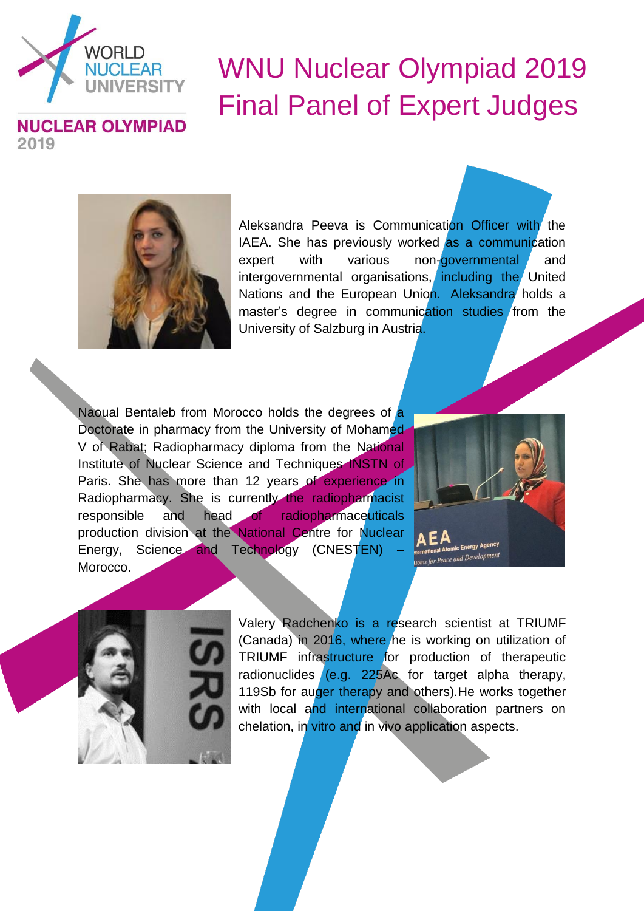

## WNU Nuclear Olympiad 2019 Final Panel of Expert Judges



Aleksandra Peeva is Communication Officer with the IAEA. She has previously worked as a communication expert with various non-governmental and intergovernmental organisations, including the United Nations and the European Union. Aleksandra holds a master's degree in communication studies from the University of Salzburg in Austria.

Naoual Bentaleb from Morocco holds the degrees of a Doctorate in pharmacy from the University of Mohamed V of Rabat; Radiopharmacy diploma from the National Institute of Nuclear Science and Techniques INSTN of Paris. She has more than 12 years of experience in Radiopharmacy. She is currently the radiopharmacist responsible and head of radiopharmaceuticals production division at the National Centre for Nuclear Energy, Science and Technology (CNESTEN) Morocco.





Valery Radchenko is a research scientist at TRIUMF (Canada) in 2016, where he is working on utilization of TRIUMF infrastructure for production of therapeutic radionuclides (e.g. 225Ac for target alpha therapy, 119Sb for auger therapy and others). He works together with local and international collaboration partners on chelation, in vitro and in vivo application aspects.